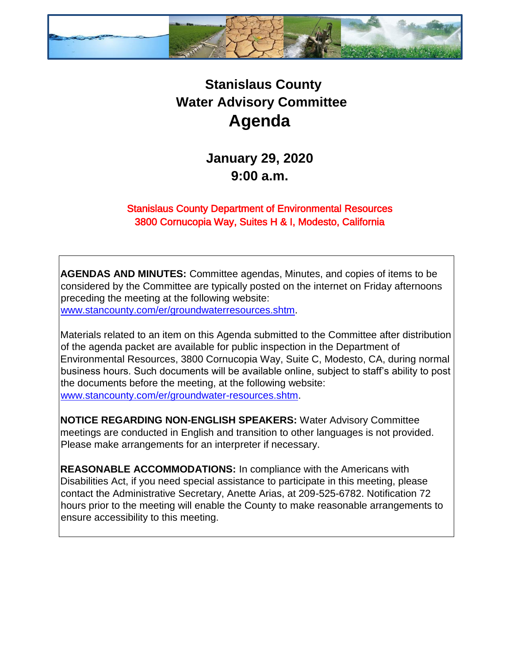

## **Stanislaus County Water Advisory Committee Agenda**

**January 29, 2020 9:00 a.m.** 

## Stanislaus County Department of Environmental Resources 3800 Cornucopia Way, Suites H & I, Modesto, California

**AGENDAS AND MINUTES:** Committee agendas, Minutes, and copies of items to be considered by the Committee are typically posted on the internet on Friday afternoons preceding the meeting at the following website: [www.stancounty.com/er/groundwaterresources.shtm.](http://www.stancounty.com/er/groundwater-resources.shtm) 

Materials related to an item on this Agenda submitted to the Committee after distribution of the agenda packet are available for public inspection in the Department of Environmental Resources, 3800 Cornucopia Way, Suite C, Modesto, CA, during normal business hours. Such documents will be available online, subject to staff's ability to post the documents before the meeting, at the following website: [www.stancounty.com/er/groundwater-resources.shtm.](http://www.stancounty.com/er/groundwater-resources.shtm) 

**NOTICE REGARDING NON-ENGLISH SPEAKERS:** Water Advisory Committee meetings are conducted in English and transition to other languages is not provided. Please make arrangements for an interpreter if necessary.

**REASONABLE ACCOMMODATIONS:** In compliance with the Americans with Disabilities Act, if you need special assistance to participate in this meeting, please contact the Administrative Secretary, Anette Arias, at 209-525-6782. Notification 72 hours prior to the meeting will enable the County to make reasonable arrangements to ensure accessibility to this meeting.